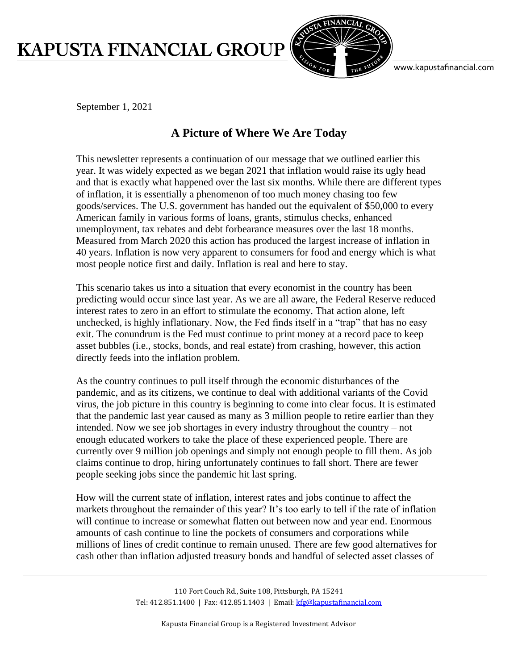## KAPUSTA FINANCIAL GROUP



www.kapustafinancial.com

September 1, 2021

## **A Picture of Where We Are Today**

This newsletter represents a continuation of our message that we outlined earlier this year. It was widely expected as we began 2021 that inflation would raise its ugly head and that is exactly what happened over the last six months. While there are different types of inflation, it is essentially a phenomenon of too much money chasing too few goods/services. The U.S. government has handed out the equivalent of \$50,000 to every American family in various forms of loans, grants, stimulus checks, enhanced unemployment, tax rebates and debt forbearance measures over the last 18 months. Measured from March 2020 this action has produced the largest increase of inflation in 40 years. Inflation is now very apparent to consumers for food and energy which is what most people notice first and daily. Inflation is real and here to stay.

This scenario takes us into a situation that every economist in the country has been predicting would occur since last year. As we are all aware, the Federal Reserve reduced interest rates to zero in an effort to stimulate the economy. That action alone, left unchecked, is highly inflationary. Now, the Fed finds itself in a "trap" that has no easy exit. The conundrum is the Fed must continue to print money at a record pace to keep asset bubbles (i.e., stocks, bonds, and real estate) from crashing, however, this action directly feeds into the inflation problem.

As the country continues to pull itself through the economic disturbances of the pandemic, and as its citizens, we continue to deal with additional variants of the Covid virus, the job picture in this country is beginning to come into clear focus. It is estimated that the pandemic last year caused as many as 3 million people to retire earlier than they intended. Now we see job shortages in every industry throughout the country – not enough educated workers to take the place of these experienced people. There are currently over 9 million job openings and simply not enough people to fill them. As job claims continue to drop, hiring unfortunately continues to fall short. There are fewer people seeking jobs since the pandemic hit last spring.

How will the current state of inflation, interest rates and jobs continue to affect the markets throughout the remainder of this year? It's too early to tell if the rate of inflation will continue to increase or somewhat flatten out between now and year end. Enormous amounts of cash continue to line the pockets of consumers and corporations while millions of lines of credit continue to remain unused. There are few good alternatives for cash other than inflation adjusted treasury bonds and handful of selected asset classes of

> 110 Fort Couch Rd., Suite 108, Pittsburgh, PA 15241 Tel: 412.851.1400 | Fax: 412.851.1403 | Email[: kfg@kapustafinancial.com](mailto:kfg@kapustafinancial.com)